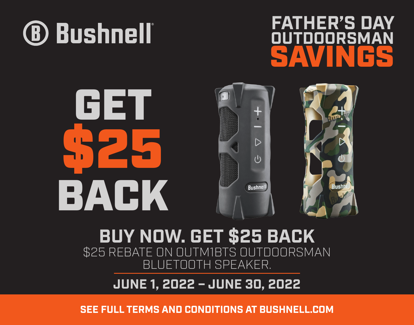

## **FATHER'S DAY** 'OOORSMAN SAVINGS

# GET \$25  $\triangleright$ BACK **Bushnel**

#### **BUY NOW. GET \$25 BACK** \$25 REBATE ON OUTM1BTS OUTDOORSMAN BLUETOOTH SPEAKER.

#### **JUNE 1, 2022 – JUNE 30, 2022**

**SEE FULL TERMS AND CONDITIONS AT BUSHNELL.COM**